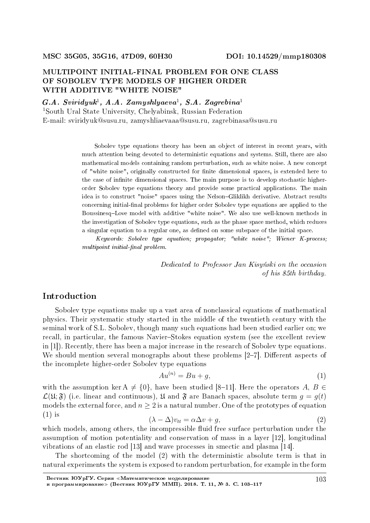### MULTIPOINT INITIAL-FINAL PROBLEM FOR ONE CLASS OF SOBOLEV TYPE MODELS OF HIGHER ORDER WITH ADDITIVE "WHITE NOISE"

 $G.A. Sviridyuk<sup>1</sup>, A.A. Zamyshlyaeva<sup>1</sup>, S.A. Zagrebina<sup>1</sup>$ 

<sup>1</sup>South Ural State University, Chelyabinsk, Russian Federation E-mail: sviridyuk@susu.ru, zamyshliaevaaa@susu.ru, zagrebinasa@susu.ru

> Sobolev type equations theory has been an object of interest in recent years, with much attention being devoted to deterministic equations and systems. Still, there are also mathematical models containing random perturbation, such as white noise. A new concept of "white noise", originally constructed for nite dimensional spaces, is extended here to the case of infinite dimensional spaces. The main purpose is to develop stochastic higherorder Sobolev type equations theory and provide some practical applications. The main idea is to construct "noise" spaces using the Nelson-Gliklikh derivative. Abstract results concerning initial-final problems for higher order Sobolev type equations are applied to the BoussinesqLove model with additive "white noise". We also use well-known methods in the investigation of Sobolev type equations, such as the phase space method, which reduces a singular equation to a regular one, as defined on some subspace of the initial space.

> Keywords: Sobolev type equation; propagator; "white noise"; Wiener K-process;  $multipoint initial-final problem.$

> > Dedicated to Professor Jan Kisynski on the occasion of his 85th birthday.

## Introduction

Sobolev type equations make up a vast area of nonclassical equations of mathematical physics. Their systematic study started in the middle of the twentieth century with the seminal work of S.L. Sobolev, though many such equations had been studied earlier on; we recall, in particular, the famous Navier-Stokes equation system (see the excellent review in [1]). Recently, there has been a major increase in the research of Sobolev type equations. We should mention several monographs about these problems  $[2-7]$ . Different aspects of the incomplete higher-order Sobolev type equations

$$
Au^{(n)} = Bu + g,\tag{1}
$$

with the assumption ker  $A \neq \{0\}$ , have been studied [8-11]. Here the operators *A*, *B*  $\in$  $\mathcal{L}(\mathfrak{U}; \mathfrak{F})$  (i.e. linear and continuous),  $\mathfrak{U}$  and  $\mathfrak{F}$  are Banach spaces, absolute term  $q = q(t)$ models the external force, and  $n \geq 2$  is a natural number. One of the prototypes of equation (1) is  $(\lambda - \Delta)v_{tt} = \alpha \Delta v + g,$  (2)

$$
(\lambda - \Delta)v_{tt} = \alpha \Delta v + g,\tag{2}
$$

which models, among others, the incompressible fluid free surface perturbation under the assumption of motion potentiality and conservation of mass in a layer [12], longitudinal vibrations of an elastic rod [13] and wave processes in smectic and plasma [14].

The shortcoming of the model (2) with the deterministic absolute term is that in natural experiments the system is exposed to random perturbation, for example in the form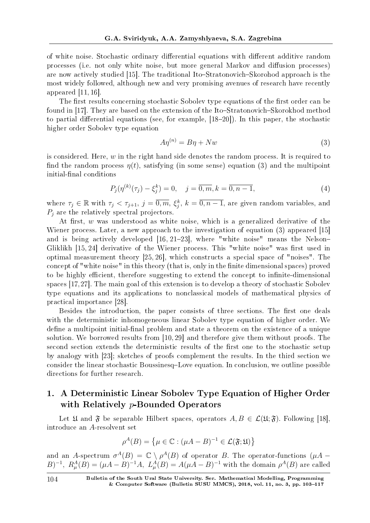of white noise. Stochastic ordinary differential equations with different additive random processes (i.e. not only white noise, but more general Markov and diffusion processes) are now actively studied [15]. The traditional Ito–Stratonovich–Skorohod approach is the most widely followed, although new and very promising avenues of research have recently appeared [11, 16].

The first results concerning stochastic Sobolev type equations of the first order can be found in [17]. They are based on the extension of the Ito-Stratonovich-Skorokhod method to partial differential equations (see, for example,  $[18-20]$ ). In this paper, the stochastic higher order Sobolev type equation

$$
A\eta^{(n)} = B\eta + Nw\tag{3}
$$

is considered. Here, *w* in the right hand side denotes the random process. It is required to find the random process  $\eta(t)$ , satisfying (in some sense) equation (3) and the multipoint initial-final conditions

$$
P_j(\eta^{(k)}(\tau_j) - \xi_j^k) = 0, \quad j = \overline{0, m}, k = \overline{0, n - 1},
$$
\n(4)

where  $\tau_j \in \mathbb{R}$  with  $\tau_j < \tau_{j+1}$ ,  $j = \overline{0,m}$ ,  $\xi_j^k$ ,  $k = \overline{0,n-1}$ , are given random variables, and *P<sup>j</sup>* are the relatively spectral projectors.

At first, *w* was understood as white noise, which is a generalized derivative of the Wiener process. Later, a new approach to the investigation of equation (3) appeared [15] and is being actively developed  $[16, 21-23]$ , where "white noise" means the Nelson-Gliklikh [15, 24] derivative of the Wiener process. This "white noise" was first used in optimal measurement theory [25, 26], which constructs a special space of "noises". The concept of "white noise" in this theory (that is, only in the finite dimensional spaces) proved to be highly efficient, therefore suggesting to extend the concept to infinite-dimensional spaces [17,27]. The main goal of this extension is to develop a theory of stochastic Sobolev type equations and its applications to nonclassical models of mathematical physics of practical importance [28].

Besides the introduction, the paper consists of three sections. The first one deals with the deterministic inhomogeneous linear Sobolev type equation of higher order. We define a multipoint initial-final problem and state a theorem on the existence of a unique solution. We borrowed results from [10, 29] and therefore give them without proofs. The second section extends the deterministic results of the first one to the stochastic setup by analogy with [23]; sketches of proofs complement the results. In the third section we consider the linear stochastic Boussinesq-Love equation. In conclusion, we outline possible directions for further research.

# 1. A Deterministic Linear Sobolev Type Equation of Higher Order with Relatively *p*-Bounded Operators

Let  $\mathfrak{U}$  and  $\mathfrak{F}$  be separable Hilbert spaces, operators  $A, B \in \mathcal{L}(\mathfrak{U}; \mathfrak{F})$ . Following [18], introduce an *A*-resolvent set

$$
\rho^{A}(B) = \{ \mu \in \mathbb{C} : (\mu A - B)^{-1} \in \mathcal{L}(\mathfrak{F}; \mathfrak{U}) \}
$$

and an *A*-spectrum  $\sigma^{A}(B) = \mathbb{C} \setminus \rho^{A}(B)$  of operator *B*. The operator-functions ( $\mu A$  –  $(B)^{-1}$ ,  $R_{\mu}^{A}(B) = (\mu A - B)^{-1}A$ ,  $L_{\mu}^{A}(B) = A(\mu A - B)^{-1}$  with the domain  $\rho^{A}(B)$  are called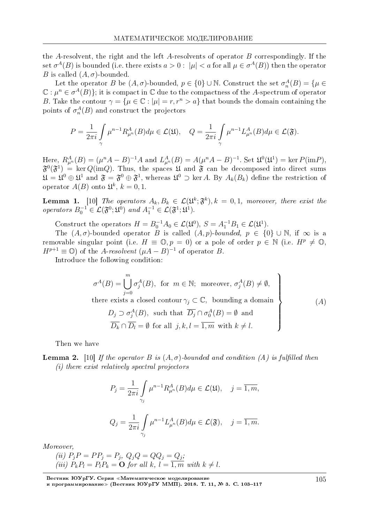the *A*-resolvent, the right and the left *A*-resolvents of operator *B* correspondingly. If the set  $\sigma^A(B)$  is bounded (i.e. there exists  $a>0:\ |\mu|< a$  for all  $\mu\in \sigma^A(B))$  then the operator *B* is called  $(A, \sigma)$ -bounded.

Let the operator *B* be  $(A, \sigma)$ -bounded,  $p \in \{0\} \cup \mathbb{N}$ . Construct the set  $\sigma_n^A(B) = \{ \mu \in$  $\mathbb{C}: \mu^n \in \sigma^A(B)\}$ ; it is compact in  $\mathbb C$  due to the compactness of the  $A$ -spectrum of operator *B*. Take the contour  $\gamma = {\mu \in \mathbb{C} : |\mu| = r, r^n > a}$  that bounds the domain containing the points of  $\sigma_n^A(B)$  and construct the projectors

$$
P = \frac{1}{2\pi i} \int\limits_{\gamma} \mu^{n-1} R^{A}_{\mu^{n}}(B) d\mu \in \mathcal{L}(\mathfrak{U}), \quad Q = \frac{1}{2\pi i} \int\limits_{\gamma} \mu^{n-1} L^{A}_{\mu^{n}}(B) d\mu \in \mathcal{L}(\mathfrak{F}).
$$

Here,  $R_{\mu^n}^A(B) = (\mu^n A - B)^{-1}A$  and  $L_{\mu^n}^A(B) = A(\mu^n A - B)^{-1}$ . Set  $\mathfrak{U}^0(\mathfrak{U}^1) = \ker P(\mathrm{im} P)$ ,  $\mathfrak{F}^0(\mathfrak{F}^1)$  = ker  $Q(\mathrm{im}Q)$ . Thus, the spaces  $\mathfrak U$  and  $\mathfrak F$  can be decomposed into direct sums  $\mathfrak{U} = \mathfrak{U}^0 \oplus \mathfrak{U}^1$  and  $\mathfrak{F} = \mathfrak{F}^0 \oplus \mathfrak{F}^1$ , whereas  $\mathfrak{U}^0 \supset \ker A$ . By  $A_k(B_k)$  define the restriction of operator  $A(B)$  onto  $\mathfrak{U}^k$ ,  $k = 0, 1$ .

**Lemma 1.** [10] The operators  $A_k, B_k \in \mathcal{L}(\mathfrak{U}^k; \mathfrak{F}^k)$ ,  $k = 0, 1$ , moreover, there exist the operators  $B_0^{-1} \in \mathcal{L}(\mathfrak{F}^0; \mathfrak{U}^0)$  and  $A_1^{-1} \in \mathcal{L}(\mathfrak{F}^1; \mathfrak{U}^1)$ .

Construct the operators  $H = B_0^{-1}A_0 \in \mathcal{L}(\mathfrak{U}^0), S = A_1^{-1}B_1 \in \mathcal{L}(\mathfrak{U}^1)$ .

The  $(A, \sigma)$ -bounded operator *B* is called  $(A, p)$ -bounded,  $p \in \{0\} \cup \mathbb{N}$ , if  $\infty$  is a removable singular point (i.e.  $H \equiv \mathbb{O}, p = 0$ ) or a pole of order  $p \in \mathbb{N}$  (i.e.  $H^p \neq \mathbb{O}$ )  $H^{p+1} \equiv \mathbb{O}$ ) of the *A-resolvent*  $(\mu A - B)^{-1}$  of operator *B*.

Introduce the following condition:

$$
\sigma^{A}(B) = \bigcup_{j=0}^{m} \sigma_{j}^{A}(B), \text{ for } m \in \mathbb{N}; \text{ moreover, } \sigma_{j}^{A}(B) \neq \emptyset,
$$
  
there exists a closed contour  $\gamma_{j} \subset \mathbb{C}$ , bounding a domain  
 $D_{j} \supset \sigma_{j}^{A}(B), \text{ such that } \overline{D_{j}} \cap \sigma_{0}^{A}(B) = \emptyset \text{ and}$   
 $\overline{D_{k}} \cap \overline{D_{l}} = \emptyset \text{ for all } j, k, l = \overline{1, m} \text{ with } k \neq l.$  (A)

Then we have

**Lemma 2.** [10] If the operator *B* is  $(A, \sigma)$ -bounded and condition  $(A)$  is fulfilled then (i) there exist relatively spectral projectors

$$
P_j = \frac{1}{2\pi i} \int_{\gamma_j} \mu^{n-1} R_{\mu^n}^A(B) d\mu \in \mathcal{L}(\mathfrak{U}), \quad j = \overline{1, m},
$$
  

$$
Q_j = \frac{1}{2\pi i} \int_{\gamma_j} \mu^{n-1} L_{\mu^n}^A(B) d\mu \in \mathcal{L}(\mathfrak{F}), \quad j = \overline{1, m}.
$$

Moreover,

 $(iii)$   $P_jP = PP_j = P_j, Q_jQ = QQ_j = Q_j;$ (iii)  $P_k P_l = P_l P_k = \mathbf{O}$  for all  $k, l = \overline{1, m}$  with  $k \neq l$ .

Вестник ЮУрГУ. Серия «Математическое моделирование и программирование≫ (Вестник ЮУрГУ ММП). 2018. Т. 11, № 3. C. 103–117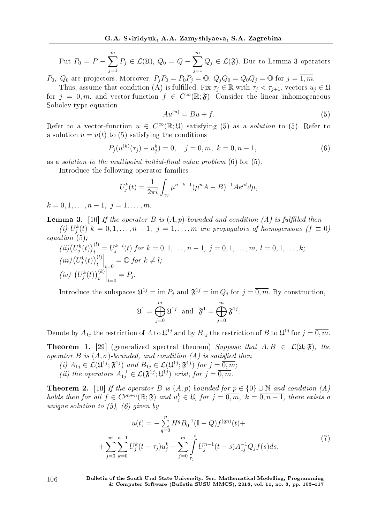Put 
$$
P_0 = P - \sum_{j=1}^m P_j \in \mathcal{L}(\mathfrak{U}), Q_0 = Q - \sum_{j=1}^m Q_j \in \mathcal{L}(\mathfrak{F}).
$$
 Due to Lemma 3 operators

*P*<sub>0</sub>*,*  $Q_0$  are projectors. Moreover,  $P_i P_0 = P_0 P_i = \mathbb{O}$ ,  $Q_i Q_0 = Q_0 Q_i = \mathbb{O}$  for  $j = \overline{1, m}$ .

Thus, assume that condition (A) is fulfilled. Fix  $\tau_j \in \mathbb{R}$  with  $\tau_j < \tau_{j+1}$ , vectors  $u_j \in \mathfrak{U}$ for  $j = \overline{0,m}$ , and vector-function  $f \in C^{\infty}(\mathbb{R}; \mathfrak{F})$ . Consider the linear inhomogeneous Sobolev type equation

$$
Au^{(n)} = Bu + f.\tag{5}
$$

Refer to a vector-function  $u \in C^{\infty}(\mathbb{R}; \mathfrak{U})$  satisfying (5) as a *solution* to (5). Refer to a solution  $u = u(t)$  to (5) satisfying the conditions

$$
P_j(u^{(k)}(\tau_j) - u_j^k) = 0, \quad j = \overline{0, m}, \ k = \overline{0, n - 1}, \tag{6}
$$

as a *solution to the multipoint initial-final value problem*  $(6)$  for  $(5)$ .

Introduce the following operator families

$$
U_j^k(t) = \frac{1}{2\pi i} \int_{\gamma_j} \mu^{n-k-1} (\mu^n A - B)^{-1} A e^{\mu t} d\mu,
$$

 $k = 0, 1, \ldots, n-1, \, j = 1, \ldots, m$ .

**Lemma 3.** [10] If the operator  $B$  is  $(A, p)$ -bounded and condition  $(A)$  is fulfilled then (i)  $U_j^k(t)$   $k = 0, 1, \ldots, n-1, j = 1, \ldots, m$  are propagators of homogeneous ( $f \equiv 0$ )

equation (5); 
$$
\alpha
$$

$$
(ii) (U_j^k(t))_t^{(l)} = U_j^{k-l}(t) \text{ for } k = 0, 1, ..., n-1, j = 0, 1, ..., m, l = 0, 1, ..., k;
$$
  
\n
$$
(iii) (U_j^k(t))_t^{(l)} \Big|_{t=0} = \text{Q} \text{ for } k \neq l;
$$
  
\n
$$
(iv) (U_j^k(t))_t^{(k)} \Big|_{t=0} = P_j.
$$

Introduce the subspaces  $\mathfrak{U}^{1j} = \text{im } P_j$  and  $\mathfrak{F}^{1j} = \text{im } Q_j$  for  $j = \overline{0,m}$ . By construction,

$$
\mathfrak{U}^1 = \bigoplus_{j=0}^m \mathfrak{U}^{1j} \text{ and } \mathfrak{F}^1 = \bigoplus_{j=0}^m \mathfrak{F}^{1j}.
$$

Denote by  $A_{1j}$  the restriction of  $A$  to  $\mathfrak{U}^{1j}$  and by  $B_{1j}$  the restriction of  $B$  to  $\mathfrak{U}^{1j}$  for  $j=\overline{0,m}$ .

**Theorem 1.** [29] (generalized spectral theorem) Suppose that  $A, B \in \mathcal{L}(\mathfrak{U}; \mathfrak{F})$ , the operator *B* is  $(A, \sigma)$ -bounded, and condition  $(A)$  is satisfied then

 $(i)$   $A_{1j} \in \mathcal{L}(\mathfrak{U}^{1j}; \mathfrak{F}^{1j})$  and  $B_{1j} \in \mathcal{L}(\mathfrak{U}^{1j}; \mathfrak{F}^{1j})$  for  $j = \overline{0, m}$ ; (*ii*) the operators  $A_{1j}^{-1} \in \mathcal{L}(\mathfrak{F}^{1j};\mathfrak{U}^{1j})$  exist, for  $j=\overline{0,m}$ .

**Theorem 2.** [10] If the operator *B* is  $(A, p)$ -bounded for  $p \in \{0\} \cup \mathbb{N}$  and condition  $(A)$ holds then for all  $f \in C^{pn+n}(\mathbb{R}; \mathfrak{F})$  and  $u_j^k \in \mathfrak{U}$ , for  $j = \overline{0, m}$ ,  $k = \overline{0, n-1}$ , there exists a unique solution to  $(5)$ ,  $(6)$  given by

$$
u(t) = -\sum_{q=0}^{p} H^{q} B_{0}^{-1} (\mathbb{I} - Q) f^{(qn)}(t) +
$$
  
+ 
$$
\sum_{j=0}^{m} \sum_{k=0}^{n-1} U_{j}^{k} (t - \tau_{j}) u_{j}^{k} + \sum_{j=0}^{m} \int_{\tau_{j}}^{t} U_{j}^{n-1} (t - s) A_{1j}^{-1} Q_{j} f(s) ds.
$$
 (7)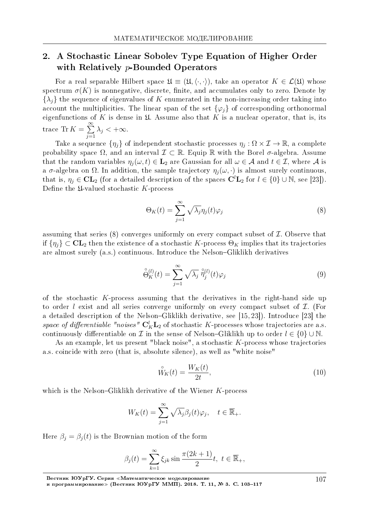# 2. A Stochastic Linear Sobolev Type Equation of Higher Order with Relatively *p*-Bounded Operators

For a real separable Hilbert space  $\mathfrak{U} \equiv (\mathfrak{U}, \langle \cdot, \cdot \rangle)$ , take an operator  $K \in \mathcal{L}(\mathfrak{U})$  whose spectrum  $\sigma(K)$  is nonnegative, discrete, finite, and accumulates only to zero. Denote by  $\{\lambda_i\}$  the sequence of eigenvalues of *K* enumerated in the non-increasing order taking into account the multiplicities. The linear span of the set  $\{\varphi_i\}$  of corresponding orthonormal eigenfunctions of  $K$  is dense in  $\mathfrak U$ . Assume also that  $K$  is a nuclear operator, that is, its trace Tr  $K = \sum^{\infty}$ *j*=1  $\lambda_j < +\infty$ .

Take a sequence  $\{\eta_j\}$  of independent stochastic processes  $\eta_j : \Omega \times \mathcal{I} \to \mathbb{R}$ , a complete probability space  $\Omega$ , and an interval  $\mathcal{I} \subset \mathbb{R}$ . Equip R with the Borel  $\sigma$ -algebra. Assume that the random variables  $\eta_i(\omega, t) \in \mathbf{L}_2$  are Gaussian for all  $\omega \in \mathcal{A}$  and  $t \in \mathcal{I}$ , where  $\mathcal{A}$  is a  $\sigma$ -algebra on  $\Omega$ . In addition, the sample trajectory  $\eta_i(\omega, \cdot)$  is almost surely continuous, that is,  $\eta_j \in CL_2$  (for a detailed description of the spaces  $\mathbf{C}^l\mathbf{L}_2$  for  $l \in \{0\} \cup \mathbb{N}$ , see [23]). Define the *L*-valued stochastic *K*-process

$$
\Theta_K(t) = \sum_{j=1}^{\infty} \sqrt{\lambda_j} \eta_j(t) \varphi_j \tag{8}
$$

assuming that series (8) converges uniformly on every compact subset of *I*. Observe that if  $\{\eta_i\} \subset \mathbf{CL}_2$  then the existence of a stochastic *K*-process  $\Theta_K$  implies that its trajectories are almost surely (a.s.) continuous. Introduce the Nelson–Gliklikh derivatives

$$
\overset{\circ}{\Theta}_{K}^{(l)}(t) = \sum_{j=1}^{\infty} \sqrt{\lambda_j} \; \overset{\circ}{\eta}_{j}^{(l)}(t) \varphi_j \tag{9}
$$

of the stochastic *K*-process assuming that the derivatives in the right-hand side up to order *l* exist and all series converge uniformly on every compact subset of *I*. (For a detailed description of the Nelson-Gliklikh derivative, see  $[15, 23]$ ). Introduce  $[23]$  the space of differentiable "noises"  $\mathbf{C}_K^l \mathbf{L}_2$  of stochastic *K*-processes whose trajectories are a.s. continuously differentiable on *I* in the sense of Nelson–Gliklikh up to order  $l \in \{0\} \cup \mathbb{N}$ .

As an example, let us present "black noise", a stochastic *K*-process whose trajectories a.s. coincide with zero (that is, absolute silence), as well as "white noise"

$$
\mathring{W}_{K}(t) = \frac{W_{K}(t)}{2t},\tag{10}
$$

which is the Nelson-Gliklikh derivative of the Wiener *K*-process

$$
W_K(t) = \sum_{j=1}^{\infty} \sqrt{\lambda_j} \beta_j(t) \varphi_j, \quad t \in \overline{\mathbb{R}}_+.
$$

Here  $\beta_j = \beta_j(t)$  is the Brownian motion of the form

$$
\beta_j(t) = \sum_{k=1}^{\infty} \xi_{jk} \sin \frac{\pi (2k+1)}{2} t, \ t \in \overline{\mathbb{R}}_+,
$$

Вестник ЮУрГУ. Серия «Математическое моделирование

и программирование≫ (Вестник ЮУрГУ ММП). 2018. Т. 11, № 3. C. 103–117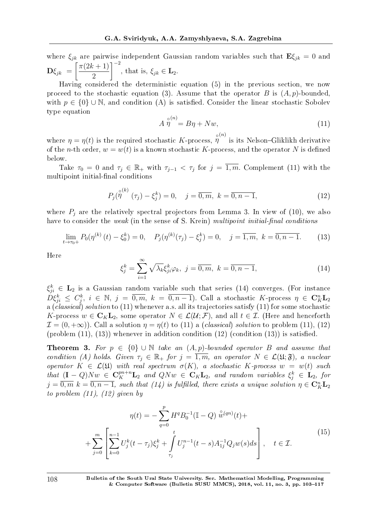where  $\xi_{jk}$  are pairwise independent Gaussian random variables such that  $\mathbf{E}\xi_{jk} = 0$  and  $\mathbf{D}\xi_{jk} = \begin{bmatrix} \frac{\pi(2k+1)}{2} \end{bmatrix}$ 2 ]*<sup>−</sup>*<sup>2</sup> , that is,  $\xi_{jk} \in \mathbf{L}_2$ .

Having considered the deterministic equation (5) in the previous section, we now proceed to the stochastic equation (3). Assume that the operator *B* is  $(A, p)$ -bounded, with  $p \in \{0\} \cup \mathbb{N}$ , and condition (A) is satisfied. Consider the linear stochastic Sobolev type equation

$$
A \stackrel{\circ}{\eta}^{(n)} = B\eta + Nw,\tag{11}
$$

where  $\eta = \eta(t)$  is the required stochastic *K*-process,  $\hat{\eta}^{\circ(n)}$  is its Nelson–Gliklikh derivative of the *n*-th order,  $w = w(t)$  is a known stochastic *K*-process, and the operator *N* is defined below.

Take  $\tau_0 = 0$  and  $\tau_j \in \mathbb{R}_+$  with  $\tau_{j-1} < \tau_j$  for  $j = \overline{1,m}$ . Complement (11) with the multipoint initial-final conditions

$$
P_j(\stackrel{\circ}{\eta}^{(k)}(\tau_j) - \xi_j^k) = 0, \quad j = \overline{0, m}, \ k = \overline{0, n - 1}, \tag{12}
$$

where  $P_i$  are the relatively spectral projectors from Lemma 3. In view of (10), we also have to consider the weak (in the sense of S. Krein) multipoint initial-final conditions

$$
\lim_{t \to \tau_0+} P_0(\eta^{(k)}(t) - \xi_0^k) = 0, \quad P_j(\eta^{(k)}(\tau_j) - \xi_j^k) = 0, \quad j = \overline{1, m}, \ k = \overline{0, n - 1}.
$$
 (13)

Here

$$
\xi_j^k = \sum_{i=1}^{\infty} \sqrt{\lambda_k} \xi_{ji}^k \varphi_k, \ j = \overline{0, m}, \ k = \overline{0, n-1}, \tag{14}
$$

 $\xi_{ji}^k$   $\in$  **L**<sub>2</sub> is a Gaussian random variable such that series (14) converges. (For instance  $D\xi_{ji}^k \leq C_j^k$ ,  $i \in \mathbb{N}$ ,  $j = \overline{0,m}$ ,  $k = \overline{0,n-1}$ ). Call a stochastic K-process  $\eta \in \mathbf{C}_K^n\mathbf{L}_2$ a (classical) solution to (11) whenever a.s. all its trajectories satisfy (11) for some stochastic *K*-process  $w \in \mathbf{C}_K \mathbf{L}_2$ , some operator  $N \in \mathcal{L}(\mathcal{U}; \mathcal{F})$ , and all  $t \in \mathcal{I}$ . (Here and henceforth  $\mathcal{I} = (0, +\infty)$ ). Call a solution  $\eta = \eta(t)$  to (11) a (*classical*) solution to problem (11), (12) (problem  $(11)$ ,  $(13)$ ) whenever in addition condition  $(12)$  (condition  $(13)$ ) is satisfied.

**Theorem 3.** For  $p \in \{0\} \cup \mathbb{N}$  take an  $(A, p)$ -bounded operator *B* and assume that condition (A) holds. Given  $\tau_j \in \mathbb{R}_+$  for  $j = \overline{1,m}$ , an operator  $N \in \mathcal{L}(\mathfrak{U}; \mathfrak{F})$ , a nuclear operator  $K \in \mathcal{L}(\mathfrak{U})$  with real spectrum  $\sigma(K)$ , a stochastic  $K$ -process  $w = w(t)$  such that  $(\mathbf{I} - Q)Nw \in \mathbf{C}_{K}^{pn+n}\mathbf{L}_{2}$  and  $QNw \in \mathbf{C}_{K}\mathbf{L}_{2}$ , and random variables  $\xi_{j}^{k} \in \mathbf{L}_{2}$ , for  $j = \overline{0,m}$   $k = \overline{0,n-1}$ , such that (14) is fulfilled, there exists a unique solution  $\eta \in \mathbf{C}_K^n \mathbf{L}_2$ to problem  $(11)$ ,  $(12)$  given by

$$
\eta(t) = -\sum_{q=0}^{p} H^{q} B_{0}^{-1} (\mathbb{I} - Q) \stackrel{\circ}{w}^{(qn)}(t) +
$$

$$
+ \sum_{j=0}^{m} \left[ \sum_{k=0}^{n-1} U_{j}^{k}(t - \tau_{j}) \xi_{j}^{k} + \int_{\tau_{j}}^{t} U_{j}^{n-1}(t - s) A_{1j}^{-1} Q_{j} w(s) ds \right], \quad t \in \mathcal{I}.
$$
\n(15)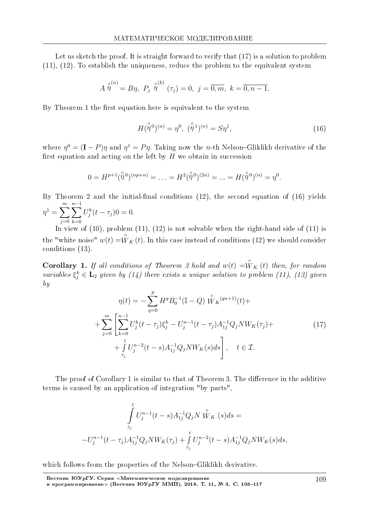Let us sketch the proof. It is straight forward to verify that  $(17)$  is a solution to problem (11), (12). To establish the uniqueness, reduce the problem to the equivalent system

$$
A \stackrel{\circ}{\eta}^{(n)} = B\eta, P_j \stackrel{\circ}{\eta}^{(k)}(\tau_j) = 0, j = \overline{0, m}, k = \overline{0, n-1}.
$$

By Theorem 1 the first equation here is equivalent to the system

$$
H(\stackrel{\circ}{\eta}{}^0)^{(n)} = \eta^0, \quad (\stackrel{\circ}{\eta}{}^1)^{(n)} = S\eta^1,\tag{16}
$$

where  $\eta^0 = (\mathbf{I} - P)\eta$  and  $\eta^1 = P\eta$ . Taking now the *n*-th Nelson-Gliklikh derivative of the first equation and acting on the left by  $H$  we obtain in succession

$$
0 = H^{p+1}(\overset{\circ}{\eta}{}^0)^{(np+n)} = \ldots = H^2(\overset{\circ}{\eta}{}^0)^{(2n)} = \ldots = H(\overset{\circ}{\eta}{}^0)^{(n)} = \eta^0.
$$

By Theorem 2 and the initial-final conditions  $(12)$ , the second equation of  $(16)$  yields  $\eta^1 = \sum^m$ *j*=0 ∑*n−*1 *k*=0  $U_j^k(t - \tau_j)0 = 0.$ 

In view of  $(10)$ , problem  $(11)$ ,  $(12)$  is not solvable when the right-hand side of  $(11)$  is the "white noise"  $w(t) = \overset{\circ}{W}_{K}(t)$ . In this case instead of conditions (12) we should consider conditions (13).

**Corollary 1.** If all conditions of Theorem 3 hold and  $w(t) = \overset{\circ}{W}_{K}(t)$  then, for random variables  $\xi_j^k \in \mathbf{L}_2$  given by (14) there exists a unique solution to problem (11), (13) given by

$$
\eta(t) = -\sum_{q=0}^{p} H^{q} B_{0}^{-1} (\mathbb{I} - Q) \stackrel{\circ}{W}_{K} (q_{n+1}) (t) +
$$
  
+ 
$$
\sum_{j=0}^{m} \left[ \sum_{k=0}^{n-1} U_{j}^{k} (t - \tau_{j}) \xi_{j}^{k} - U_{j}^{n-1} (t - \tau_{j}) A_{1j}^{-1} Q_{j} N W_{K} (\tau_{j}) +
$$
  
+ 
$$
\int_{\tau_{j}}^{t} U_{j}^{n-2} (t - s) A_{1j}^{-1} Q_{j} N W_{K} (s) ds \right], \quad t \in \mathcal{I}.
$$
 (17)

The proof of Corollary 1 is similar to that of Theorem 3. The difference in the additive terms is caused by an application of integration "by parts",

$$
\int_{\tau_j}^t U_j^{n-1}(t-s)A_{1j}^{-1}Q_j N \stackrel{\circ}{W}_K(s)ds = -U_j^{n-1}(t-\tau_j)A_{1j}^{-1}Q_j N W_K(\tau_j) + \int_{\tau_j}^t U_j^{n-2}(t-s)A_{1j}^{-1}Q_j N W_K(s)ds,
$$

which follows from the properties of the Nelson-Gliklikh derivative.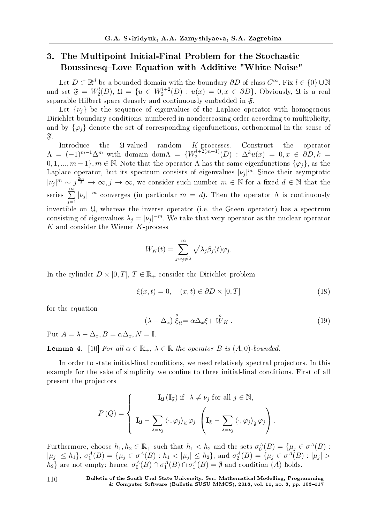# 3. The Multipoint Initial-Final Problem for the Stochastic Boussinesq-Love Equation with Additive "White Noise"

Let *D ⊂* R *<sup>d</sup>* be a bounded domain with the boundary *∂D* of class *C <sup>∞</sup>*. Fix *l ∈ {*0*} ∪* N and set  $\mathfrak{F} = W_2^l(D)$ ,  $\mathfrak{U} = \{u \in W_2^{l+2}(D) : u(x) = 0, x \in \partial D\}$ . Obviously,  $\mathfrak{U}$  is a real separable Hilbert space densely and continuously embedded in F*.*

Let  $\{\nu_i\}$  be the sequence of eigenvalues of the Laplace operator with homogenous Dirichlet boundary conditions, numbered in nondecreasing order according to multiplicity, and by  $\{\varphi_i\}$  denote the set of corresponding eigenfunctions, orthonormal in the sense of  $\mathfrak{F}.$ 

Introduce the U-valued random *K*-processes. Construct the operator  $\Lambda = (-1)^{m-1} \Delta^m$  with domain dom $\Lambda = \{W_2^{l+2(m+1)}\}$  $\Delta^k u^{(1+2(m+1)}(D) : \Delta^k u(x) = 0, x \in \partial D, k =$  $0, 1, \ldots, m-1$ }*, m*  $\in \mathbb{N}$ . Note that the operator  $\Lambda$  has the same eigenfunctions  $\{\varphi_i\}$ *,* as the Laplace operator, but its spectrum consists of eigenvalues  $|\nu_j|^m$ . Since their asymptotic  $|v_j|^m \sim j^{\frac{2m}{d}} \to \infty, j \to \infty$ , we consider such number  $m \in \mathbb{N}$  for a fixed  $d \in \mathbb{N}$  that the series <sup>∑</sup>*<sup>∞</sup> j*=1  $|\nu_j|^{-m}$  converges (in particular  $m = d$ ). Then the operator  $\Lambda$  is continuously invertible on U, whereas the inverse operator (i.e. the Green operator) has a spectrum consisting of eigenvalues  $\lambda_j = |\nu_j|^{-m}$ . We take that very operator as the nuclear operator *K* and consider the Wiener *K*-process

$$
W_K(t) = \sum_{j:\nu_j \neq \lambda}^{\infty} \sqrt{\lambda_j} \beta_j(t) \varphi_j.
$$

In the cylinder  $D \times [0, T]$ ,  $T \in \mathbb{R}_+$  consider the Dirichlet problem

$$
\xi(x,t) = 0, \quad (x,t) \in \partial D \times [0,T] \tag{18}
$$

for the equation

$$
(\lambda - \Delta_x) \stackrel{o}{\xi}_{tt} = \alpha \Delta_x \xi + \stackrel{o}{W}_K . \tag{19}
$$

 $Put A = \lambda - \Delta_x, B = \alpha \Delta_x, N = \mathbb{I}.$ 

**Lemma 4.** [10] For all  $\alpha \in \mathbb{R}_+$ ,  $\lambda \in \mathbb{R}$  the operator *B* is  $(A, 0)$ -bounded.

In order to state initial-final conditions, we need relatively spectral projectors. In this example for the sake of simplicity we confine to three initial-final conditions. First of all present the projectors

$$
P\left(Q\right) = \begin{cases} \mathbf{I}_{\mathfrak{U}}\left(\mathbf{I}_{\mathfrak{F}}\right) \text{ if } \lambda \neq \nu_{j} \text{ for all } j \in \mathbb{N}, \\ \mathbf{I}_{\mathfrak{U}} - \sum_{\lambda = \nu_{j}} \left\langle \cdot, \varphi_{j} \right\rangle_{\mathfrak{U}} \varphi_{j} \left(\mathbf{I}_{\mathfrak{F}} - \sum_{\lambda = \nu_{j}} \left\langle \cdot, \varphi_{j} \right\rangle_{\mathfrak{F}} \varphi_{j}\right). \end{cases}
$$

Furthermore, choose  $h_1, h_2 \in \mathbb{R}_+$  such that  $h_1 < h_2$  and the sets  $\sigma_0^A(B) = \{\mu_j \in \sigma^A(B) :$  $|\mu_j| \leq h_1$ ,  $\sigma_1^A(B) = {\mu_j \in \sigma^A(B) : h_1 < |\mu_j| \leq h_2}$ , and  $\sigma_2^A(B) = {\mu_j \in \sigma^A(B) : |\mu_j| > h_1}$ *h*<sub>2</sub>} are not empty; hence,  $\sigma_0^A(B) \cap \sigma_1^A(B) \cap \sigma_1^A(B) = \emptyset$  and condition (*A*) holds.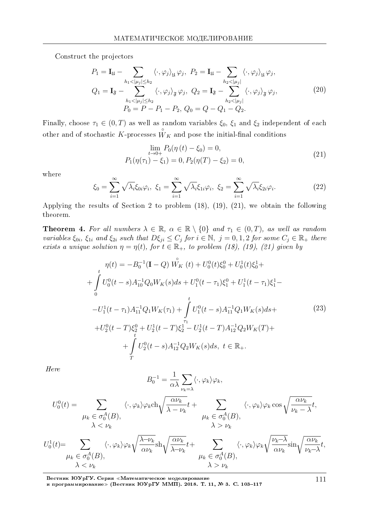Construct the projectors

$$
P_1 = \mathbf{I}_{\mathfrak{U}} - \sum_{h_1 < |\mu_j| \le h_2} \langle \cdot, \varphi_j \rangle_{\mathfrak{U}} \varphi_j, \quad P_2 = \mathbf{I}_{\mathfrak{U}} - \sum_{h_2 < |\mu_j|} \langle \cdot, \varphi_j \rangle_{\mathfrak{U}} \varphi_j,
$$
\n
$$
Q_1 = \mathbf{I}_{\mathfrak{F}} - \sum_{\substack{h_1 < |\mu_j| \le h_2 \\ h_1 < |\mu_j| \le h_2}} \langle \cdot, \varphi_j \rangle_{\mathfrak{F}} \varphi_j, \quad Q_2 = \mathbf{I}_{\mathfrak{F}} - \sum_{h_2 < |\mu_j|} \langle \cdot, \varphi_j \rangle_{\mathfrak{F}} \varphi_j,
$$
\n
$$
P_0 = P - P_1 - P_2, \quad Q_0 = Q - Q_1 - Q_2.
$$
\n
$$
(20)
$$

Finally, choose  $\tau_1 \in (0, T)$  as well as random variables  $\xi_0$ ,  $\xi_1$  and  $\xi_2$  independent of each other and of stochastic *K*-processes  $\overset{\circ}{W}_{K}$  and pose the initial-final conditions

$$
\lim_{t \to 0+} P_0(\eta(t) - \xi_0) = 0,
$$
  
\n
$$
P_1(\eta(\tau_1) - \xi_1) = 0, P_2(\eta(T) - \xi_2) = 0,
$$
\n(21)

where

$$
\xi_0 = \sum_{i=1}^{\infty} \sqrt{\lambda_i} \xi_{0i} \varphi_i, \ \xi_1 = \sum_{i=1}^{\infty} \sqrt{\lambda_i} \xi_{1i} \varphi_i, \ \xi_2 = \sum_{i=1}^{\infty} \sqrt{\lambda_i} \xi_{2i} \varphi_i.
$$
 (22)

Applying the results of Section 2 to problem (18), (19), (21), we obtain the following theorem.

**Theorem 4.** For all numbers  $\lambda \in \mathbb{R}$ ,  $\alpha \in \mathbb{R} \setminus \{0\}$  and  $\tau_1 \in (0,T)$ , as well as random variables  $\xi_{0i}$ ,  $\xi_{1i}$  and  $\xi_{2i}$  such that  $D\xi_{ji} \leq C_j$  for  $i \in \mathbb{N}$ ,  $j = 0, 1, 2$  for some  $C_j \in \mathbb{R}_+$  there exists a unique solution  $\eta = \eta(t)$ , for  $t \in \mathbb{R}_+$ , to problem (18), (19), (21) given by

$$
\eta(t) = -B_0^{-1}(\mathbf{I} - Q) \stackrel{\circ}{W_K}(t) + U_0^0(t)\xi_0^0 + U_0^1(t)\xi_0^1 +
$$
  
+ 
$$
\int_0^t U_0^0(t - s)A_{10}^{-1}Q_0W_K(s)ds + U_1^0(t - \tau_1)\xi_1^0 + U_1^1(t - \tau_1)\xi_1^1 -
$$
  
- 
$$
-U_1^1(t - \tau_1)A_{11}^{-1}Q_1W_K(\tau_1) + \int_0^t U_1^0(t - s)A_{11}^{-1}Q_1W_K(s)ds +
$$
  
+ 
$$
U_2^0(t - T)\xi_2^0 + U_2^1(t - T)\xi_2^1 - U_2^1(t - T)A_{12}^{-1}Q_2W_K(T) +
$$
  
+ 
$$
\int_t^t U_2^0(t - s)A_{12}^{-1}Q_2W_K(s)ds, \ t \in \mathbb{R}_+.
$$
 (23)

Here

$$
B_0^{-1} = \frac{1}{\alpha \lambda} \sum_{\nu_k = \lambda} \langle \cdot, \varphi_k \rangle \varphi_k,
$$
  
\n
$$
U_0^0(t) = \sum_{\substack{\mu_k \in \sigma_0^A(B), \\ \lambda < \nu_k}} \langle \cdot, \varphi_k \rangle \varphi_k \text{ch} \sqrt{\frac{\alpha \nu_k}{\lambda - \nu_k}} t + \sum_{\substack{\mu_k \in \sigma_0^A(B), \\ \lambda > \nu_k}} \langle \cdot, \varphi_k \rangle \varphi_k \cos \sqrt{\frac{\alpha \nu_k}{\nu_k - \lambda}} t,
$$
  
\n
$$
U_0^1(t) = \sum_{\substack{\mu_k \in \sigma_0^A(B), \\ \mu_k \in \sigma_0^A(B),}} \langle \cdot, \varphi_k \rangle \varphi_k \sqrt{\frac{\lambda - \nu_k}{\alpha \nu_k}} \text{sh} \sqrt{\frac{\alpha \nu_k}{\lambda - \nu_k}} t + \sum_{\substack{\mu_k \in \sigma_0^A(B), \\ \lambda > \nu_k}} \langle \cdot, \varphi_k \rangle \varphi_k \sqrt{\frac{\nu_k - \lambda}{\alpha \nu_k}} \sin \sqrt{\frac{\alpha \nu_k}{\nu_k - \lambda}} t,
$$

Вестник ЮУрГУ. Серия «Математическое моделирование и программирование≫ (Вестник ЮУрГУ ММП). 2018. Т. 11, № 3. C. 103–117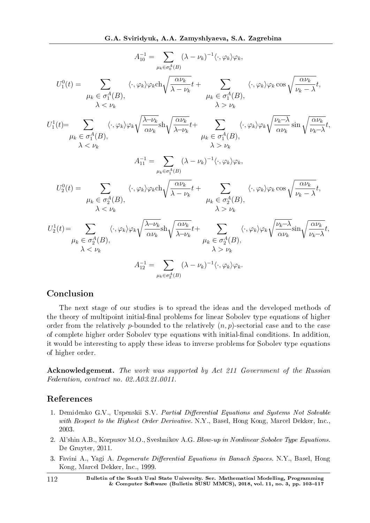$$
A_{10}^{-1} = \sum_{\mu_k \in \sigma_0^A(B)} (\lambda - \nu_k)^{-1} \langle \cdot, \varphi_k \rangle \varphi_k,
$$
  
\n
$$
U_1^0(t) = \sum_{\mu_k \in \sigma_1^A(B)} \langle \cdot, \varphi_k \rangle \varphi_k \text{ch}\sqrt{\frac{\alpha \nu_k}{\lambda - \nu_k}} t + \sum_{\mu_k \in \sigma_1^A(B),} \langle \cdot, \varphi_k \rangle \varphi_k \cos \sqrt{\frac{\alpha \nu_k}{\nu_k - \lambda}} t,
$$
  
\n
$$
U_1^1(t) = \sum_{\mu_k \in \sigma_1^A(B)} \langle \cdot, \varphi_k \rangle \varphi_k \sqrt{\frac{\lambda - \nu_k}{\alpha \nu_k}} \text{sh}\sqrt{\frac{\alpha \nu_k}{\lambda - \nu_k}} t + \sum_{\mu_k \in \sigma_1^A(B),} \langle \cdot, \varphi_k \rangle \varphi_k \sqrt{\frac{\nu_k - \lambda}{\alpha \nu_k}} \sin \sqrt{\frac{\alpha \nu_k}{\nu_k - \lambda}} t,
$$
  
\n
$$
A_{11}^{-1} = \sum_{\mu_k \in \sigma_1^A(B)} (\lambda - \nu_k)^{-1} \langle \cdot, \varphi_k \rangle \varphi_k,
$$
  
\n
$$
U_2^0(t) = \sum_{\mu_k \in \sigma_2^A(B),} \langle \cdot, \varphi_k \rangle \varphi_k \text{ch}\sqrt{\frac{\alpha \nu_k}{\lambda - \nu_k}} t + \sum_{\mu_k \in \sigma_2^A(B),} \langle \cdot, \varphi_k \rangle \varphi_k \cos \sqrt{\frac{\alpha \nu_k}{\nu_k - \lambda}} t,
$$
  
\n
$$
U_2^1(t) = \sum_{\mu_k \in \sigma_2^A(B),} \langle \cdot, \varphi_k \rangle \varphi_k \sqrt{\frac{\lambda - \nu_k}{\alpha \nu_k}} \text{sh}\sqrt{\frac{\alpha \nu_k}{\lambda - \nu_k}} t + \sum_{\mu_k \in \sigma_2^A(B),} \langle \cdot, \varphi_k \rangle \varphi_k \sqrt{\frac{\nu_k - \lambda}{\alpha \nu_k}} \text{sh}\sqrt{\frac{\alpha \nu_k}{\nu_k - \lambda}} t,
$$
  
\n
$$
A_{12}^{-1} = \sum_{\mu_k \in \sigma_2^A(B)} (\lambda - \nu_k)^{-1} \langle \cdot, \varphi_k \rangle \varphi_k.
$$

# Conclusion

The next stage of our studies is to spread the ideas and the developed methods of the theory of multipoint initial-final problems for linear Sobolev type equations of higher order from the relatively *p*-bounded to the relatively  $(n, p)$ -sectorial case and to the case of complete higher order Sobolev type equations with initial-final conditions. In addition, it would be interesting to apply these ideas to inverse problems for Sobolev type equations of higher order.

Acknowledgement. The work was supported by Act 211 Government of the Russian Federation, contract no. 02.A03.21.0011.

### References

- 1. Demidenko G.V., Uspenskii S.V. Partial Differential Equations and Systems Not Solvable with Respect to the Highest Order Derivative. N.Y., Basel, Hong Kong, Marcel Dekker, Inc., 2003.
- 2. Al'shin A.B., Korpusov M.O., Sveshnikov A.G. Blow-up in Nonlinear Sobolev Type Equations. De Gruyter, 2011.
- 3. Favini A., Yagi A. Degenerate Differential Equations in Banach Spaces. N.Y., Basel, Hong Kong, Marcel Dekker, Inc., 1999.
- 112 Bulletin of the South Ural State University. Ser. Mathematical Modelling, Programming & Computer Software (Bulletin SUSU MMCS), 2018, vol. 11, no. 3, pp.  $103-117$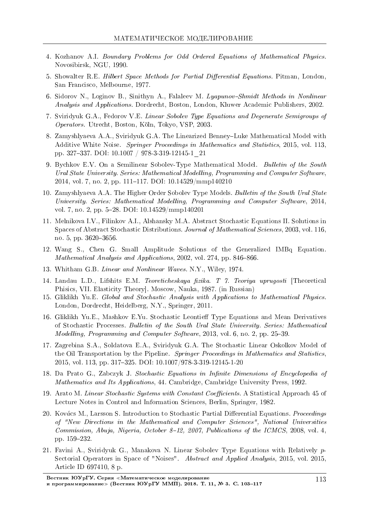- 4. Kozhanov A.I. Boundary Problems for Odd Ordered Equations of Mathematical Physics. Novosibirsk, NGU, 1990.
- 5. Showalter R.E. Hilbert Space Methods for Partial Differential Equations. Pitman, London, San Francisco, Melbourne, 1977.
- 6. Sidorov N., Loginov B., Sinithyn A., Falaleev M. Lyapunov-Shmidt Methods in Nonlinear Analysis and Applications. Dordrecht, Boston, London, Kluwer Academic Publishers, 2002.
- 7. Sviridyuk G.A., Fedorov V.E. Linear Sobolev Type Equations and Degenerate Semigroups of Operators. Utrecht, Boston, Koln, Tokyo, VSP, 2003.
- 8. Zamyshlyaeva A.A., Sviridyuk G.A. The Linearized Benney–Luke Mathematical Model with Additive White Noise. Springer Proceedings in Mathematics and Statistics, 2015, vol. 113, pp. 327337. DOI: 10.1007 / 978-3-319-12145-1\_21
- 9. Bychkov E.V. On a Semilinear Sobolev-Type Mathematical Model. Bulletin of the South Ural State University. Series: Mathematical Modelling, Programming and Computer Software, 2014, vol. 7, no. 2, pp. 111-117. DOI: 10.14529/mmp140210
- 10. Zamyshlyaeva A.A. The Higher Order Sobolev Type Models. Bulletin of the South Ural State University. Series: Mathematical Modelling, Programming and Computer Software, 2014, vol. 7, no. 2, pp. 528. DOI: 10.14529/mmp140201
- 11. Melnikova I.V., Filinkov A.I., Alshansky M.A. Abstract Stochastic Equations II. Solutions in Spaces of Abstract Stochastic Distributions. Journal of Mathematical Sciences, 2003, vol. 116, no. 5, pp. 3620-3656.
- 12. Wang S., Chen G. Small Amplitude Solutions of the Generalized IMBq Equation. Mathematical Analysis and Applications, 2002, vol. 274, pp. 846–866.
- 13. Whitham G.B. Linear and Nonlinear Waves. N.Y., Wiley, 1974.
- 14. Landau L.D., Lifshits E.M. Teoreticheskaya fizika. T 7. Teoriya uprugosti [Theoretical Phisics, VII. Elasticity Theory]. Moscow, Nauka, 1987. (in Russian)
- 15. Gliklikh Yu.E. Global and Stochastic Analysis with Applications to Mathematical Physics. London, Dordrecht, Heidelberg, N.Y., Springer, 2011.
- 16. Gliklikh Yu.E., Mashkov E.Yu. Stochastic Leontieff Type Equations and Mean Derivatives of Stochastic Processes. Bulletin of the South Ural State University. Series: Mathematical *Modelling, Programming and Computer Software,* 2013, vol.  $6$ , no.  $2$ , pp.  $25-39$ .
- 17. Zagrebina S.A., Soldatova E.A., Sviridyuk G.A. The Stochastic Linear Oskolkov Model of the Oil Transportation by the Pipeline. Springer Proceedings in Mathematics and Statistics, 2015, vol. 113, pp. 317-325. DOI: 10.1007/978-3-319-12145-1-20
- 18. Da Prato G., Zabczyk J. Stochastic Equations in Infinite Dimensions of Encyclopedia of Mathematics and Its Applications, 44. Cambridge, Cambridge University Press, 1992.
- 19. Arato M. Linear Stochastic Systems with Constant Coefficients. A Statistical Approach 45 of Lecture Notes in Control and Information Sciences, Berlin, Springer, 1982.
- 20. Kovács M., Larsson S. Introduction to Stochastic Partial Differential Equations. *Proceedings* of "New Directions in the Mathematical and Computer Sciences", National Universities Commission, Abuja, Nigeria, October 8-12, 2007, Publications of the ICMCS, 2008, vol. 4, pp. 159-232.
- 21. Favini A., Sviridyuk G., Manakova N. Linear Sobolev Type Equations with Relatively *p*-Sectorial Operators in Space of "Noises". Abstract and Applied Analysis, 2015, vol. 2015, Article ID 697410, 8 p.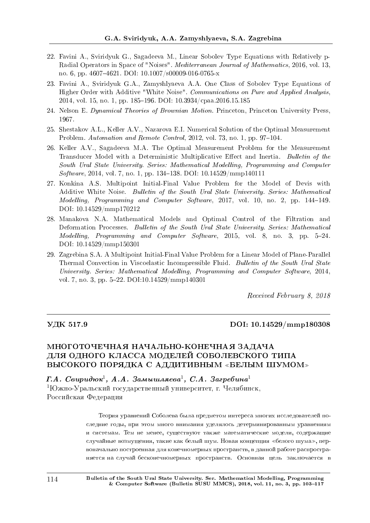- 22. Favini A., Sviridyuk G., Sagadeeva M., Linear Sobolev Type Equations with Relatively p-Radial Operators in Space of "Noises". Mediterranean Journal of Mathematics, 2016, vol. 13, no. 6, pp. 46074621. DOI: 10.1007/s00009-016-0765-x
- 23. Favini A., Sviridyuk G.A., Zamyshlyaeva A.A. One Class of Sobolev Type Equations of Higher Order with Additive "White Noise". Communications on Pure and Applied Analysis, 2014, vol. 15, no. 1, pp. 185-196. DOI:  $10.3934/cpaa.2016.15.185$
- 24. Nelson E. Dynamical Theories of Brownian Motion. Princeton, Princeton University Press, 1967.
- 25. Shestakov A.L., Keller A.V., Nazarova E.I. Numerical Solution of the Optimal Measurement Problem. Automation and Remote Control, 2012, vol. 73, no. 1, pp. 97–104.
- 26. Keller A.V., Sagadeeva M.A. The Optimal Measurement Problem for the Measurement Transducer Model with a Deterministic Multiplicative Effect and Inertia. Bulletin of the South Ural State University. Series: Mathematical Modelling, Programming and Computer  $Software, 2014, vol. 7, no. 1, pp. 134–138. DOI: 10.14529/mmp140111$
- 27. Konkina A.S. Multipoint Initial-Final Value Problem for the Model of Devis with Additive White Noise. Bulletin of the South Ural State University. Series: Mathematical Modelling, Programming and Computer Software, 2017, vol. 10, no. 2, pp. 144–149. DOI: 10.14529/mmp170212
- 28. Manakova N.A. Mathematical Models and Optimal Control of the Filtration and Deformation Processes. Bulletin of the South Ural State University. Series: Mathematical Modelling, Programming and Computer Software, 2015, vol. 8, no. 3, pp. 5–24. DOI: 10.14529/mmp150301
- 29. Zagrebina S.A. A Multipoint Initial-Final Value Problem for a Linear Model of Plane-Parallel Thermal Convection in Viscoelastic Incompressible Fluid. Bulletin of the South Ural State University. Series: Mathematical Modelling, Programming and Computer Software, 2014, vol. 7, no. 3, pp. 522. DOI:10.14529/mmp140301

Received February 8, 2018

#### ÓÄÊ 517.9 DOI: 10.14529/mmp180308

## МНОГОТОЧЕЧНАЯ НАЧАЛЬНО-КОНЕЧНАЯ ЗАДАЧА ДЛЯ ОДНОГО КЛАССА МОДЕЛЕЙ СОБОЛЕВСКОГО ТИПА ВЫСОКОГО ПОРЯДКА С АДДИТИВНЫМ «БЕЛЫМ ШУМОМ»

Г.А. Свиридюк $^1,\;A.A.\;3$ амышляева $^1,\;C.A.\;3$ агребина $^1$  $1$ Южно-Уральский государственный университет, г. Челябинск, Российская Федерация

> Теория уравнений Соболева была предметом интереса многих исследователей последние годы, при этом много внимания уделялось детерминированным уравнениям и системам. Тем не менее, существуют также математические модели, содержащие случайные возмущения, такие как белый шум. Новая концепция «белого шума», первоначально построенная для конечномерных пространств, в данной работе распространяется на случай бесконечномерных пространств. Основная цель заключается в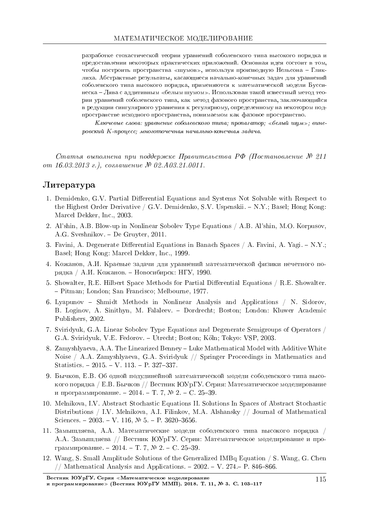разработке стохастической теории уравнений соболевского типа высокого порядка и предоставлении некоторых практических приложений. Основная идея состоит в том, чтобы построить пространства «шумов», используя производную Нельсона - Гликлиха. Абстрактные результаты, касающиеся начально-конечных задач для уравнений соболевского типа высокого порядка, применяются к математической модели Буссинеска – Лява с аддитивным «белым шумом». Использован такой известный метод теории уравнений соболевского типа, как метод фазового пространства, заключающийся в редукции сингулярного уравнения к регулярному, определенному на некотором подпространстве исходного пространства, понимаемом как фазовое пространство.

 $K$ лючевые слова: уравнение соболевского типа; пропагатор; «белый шум»; винеровский K-процесс; многоточечная начально-конечная задача.

 $C$ татья выполнена при поддержке Правительства РФ (Постановление  $\mathcal{N}^2$ 211  $om 16.03.2013$ е.), соглашение № 02. $A03.21.0011$ .

#### $J$ итература

- 1. Demidenko, G.V. Partial Differential Equations and Systems Not Solvable with Respect to the Highest Order Derivative / G.V. Demidenko, S.V. Uspenskii.  $-N.Y.$ ; Basel; Hong Kong: Marcel Dekker, Inc., 2003.
- 2. Al'shin, A.B. Blow-up in Nonlinear Sobolev Type Equations / A.B. Al'shin, M.O. Korpusov, A.G. Sveshnikov. De Gruyter, 2011.
- 3. Favini, A. Degenerate Differential Equations in Banach Spaces  $/$  A. Favini, A. Yagi.  $-$  N.Y.; Basel; Hong Kong: Marcel Dekker, Inc., 1999.
- 4. Кожанов, А.И. Краевые задачи для уравнений математической физики нечетного порядка / А.И. Кожанов. – Новосибирск: НГУ, 1990.
- 5. Showalter, R.E. Hilbert Space Methods for Partial Differential Equations / R.E. Showalter. Pitman; London; San Francisco; Melbourne, 1977.
- 6. Lyapunov Shmidt Methods in Nonlinear Analysis and Applications / N. Sidorov, B. Loginov, A. Sinithyn, M. Falaleev. Dordrecht; Boston; London: Kluwer Academic Publishers, 2002.
- 7. Sviridyuk, G.A. Linear Sobolev Type Equations and Degenerate Semigroups of Operators / G.A. Sviridyuk, V.E. Fedorov. – Utrecht; Boston; Köln; Tokyo: VSP, 2003.
- 8. Zamyshlyaeva, A.A. The Linearized Benney Luke Mathematical Model with Additive White Noise / A.A. Zamyshlyaeva, G.A. Sviridyuk // Springer Proceedings in Mathematics and Statistics.  $-2015. - V. 113. - P. 327-337.$
- 9. Бычков, Е.В. Об одной полулинейной математической модели соболевского типа высокого порядка / Е.В. Бычков // Вестник ЮУрГУ. Серия: Математическое моделирование и программирование. - 2014. - Т. 7, № 2. - С. 25-39.
- 10. Melnikova, I.V. Abstract Stochastic Equations II. Solutions In Spaces of Abstract Stochastic Distributions / I.V. Melnikova, A.I. Filinkov, M.A. Alshansky // Journal of Mathematical Sciences.  $-2003. -V. 116, N9. 5. -P. 3620-3656.$
- 11. Замышляева, A.A. Математические модели соболевского типа высокого порядка / А.А. Замышляева // Вестник ЮУрГУ. Серия: Математическое моделирование и программирование. - 2014. - Т. 7,  $N_2$ . - С. 25-39.
- 12. Wang, S. Small Amplitude Solutions of the Generalized IMBq Equation / S. Wang, G. Chen // Mathematical Analysis and Applications.  $-2002. - V. 274 - P. 846-866$ .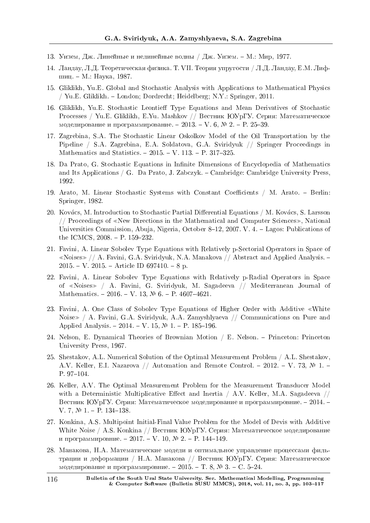- 13. Уизем, Дж. Линейные и нелинейные волны / Дж. Уизем. М.: Мир, 1977.
- 14. Ландау, Л.Д. Теоретическая физика. Т. VII. Теория упругости / Л.Д. Ландау, Е.М. Лифшиц. – М.: Наука, 1987.
- 15. Gliklikh, Yu.E. Global and Stochastic Analysis with Applications to Mathematical Physics / Yu.E. Gliklikh. London; Dordrecht; Heidelberg; N.Y.: Springer, 2011.
- 16. Gliklikh, Yu.E. Stochastic Leontieff Type Equations and Mean Derivatives of Stochastic Processes / Yu.E. Gliklikh, E.Yu. Mashkov // Вестник ЮУрГУ. Серия: Математическое моделирование и программирование. - 2013. – V. 6, № 2. - Р. 25-39.
- 17. Zagrebina, S.A. The Stochastic Linear Oskolkov Model of the Oil Transportation by the Pipeline / S.A. Zagrebina, E.A. Soldatova, G.A. Sviridyuk // Springer Proceedings in Mathematics and Statistics.  $-2015. - V.$  113.  $- P.$  317-325.
- 18. Da Prato, G. Stochastic Equations in Innite Dimensions of Encyclopedia of Mathematics and Its Applications / G. Da Prato, J. Zabczyk.  $-$  Cambridge: Cambridge University Press, 1992.
- 19. Arato, M. Linear Stochastic Systems with Constant Coefficients / M. Arato. Berlin: Springer, 1982.
- 20. Kovács, M. Introduction to Stochastic Partial Differential Equations / M. Kovács, S. Larsson // Proceedings of *<sup>≪</sup>*New Directions in the Mathematical and Computer Sciences*≫*, National Universities Commission, Abuja, Nigeria, October 8-12, 2007. V. 4. - Lagos: Publications of the ICMCS,  $2008 - P. 159-232$ .
- 21. Favini, A. Linear Sobolev Type Equations with Relatively p-Sectorial Operators in Space of *<sup>≪</sup>*Noises*<sup>≫</sup>* // A. Favini, G.A. Sviridyuk, N.A. Manakova // Abstract and Applied Analysis.  $2015. - V. 2015. - Article ID 697410. - 8 p.$
- 22. Favini, A. Linear Sobolev Type Equations with Relatively p-Radial Operators in Space of *<sup>≪</sup>*Noises*<sup>≫</sup>* / A. Favini, G. Sviridyuk, M. Sagadeeva // Mediterranean Journal of Mathematics.  $-2016. - V. 13$ ,  $\mathcal{N}$  6.  $-$  P. 4607-4621.
- 23. Favini, A. One Class of Sobolev Type Equations of Higher Order with Additive *<sup>≪</sup>*White Noise*<sup>≫</sup>* / A. Favini, G.A. Sviridyuk, A.A. Zamyshlyaeva // Communications on Pure and Applied Analysis.  $-2014. -V. 15, N<sup>o</sup>1. -P. 185-196.$
- 24. Nelson, E. Dynamical Theories of Brownian Motion / E. Nelson. Princeton: Princeton University Press, 1967.
- 25. Shestakov, A.L. Numerical Solution of the Optimal Measurement Problem / A.L. Shestakov, A.V. Keller, E.I. Nazarova // Automation and Remote Control. - 2012. - V. 73,  $\mathbb{N}$  1. -P. 97-104.
- 26. Keller, A.V. The Optimal Measurement Problem for the Measurement Transducer Model with a Deterministic Multiplicative Effect and Inertia  $/$  A.V. Keller, M.A. Sagadeeva  $//$ Вестник ЮУрГУ. Серия: Математическое моделирование и программировние.  $-2014$ . – V. 7,  $\mathbb{N}$  1. - P. 134-138.
- 27. Konkina, A.S. Multipoint Initial-Final Value Problem for the Model of Devis with Additive White Noise / A.S. Konkina // Вестник ЮУрГУ. Серия: Математическое моделирование и программировние. − 2017. – V. 10, № 2. – Р. 144-149.
- 28. Манакова, Н.А. Математические модели и оптимальное управление процессами фильтрации и деформации / Н.А. Манакова // Вестник ЮУрГУ. Серия: Математическое моделирование и программировние. - 2015. - Т. 8,  $\mathbb{N}^2$  3. - С. 5-24.